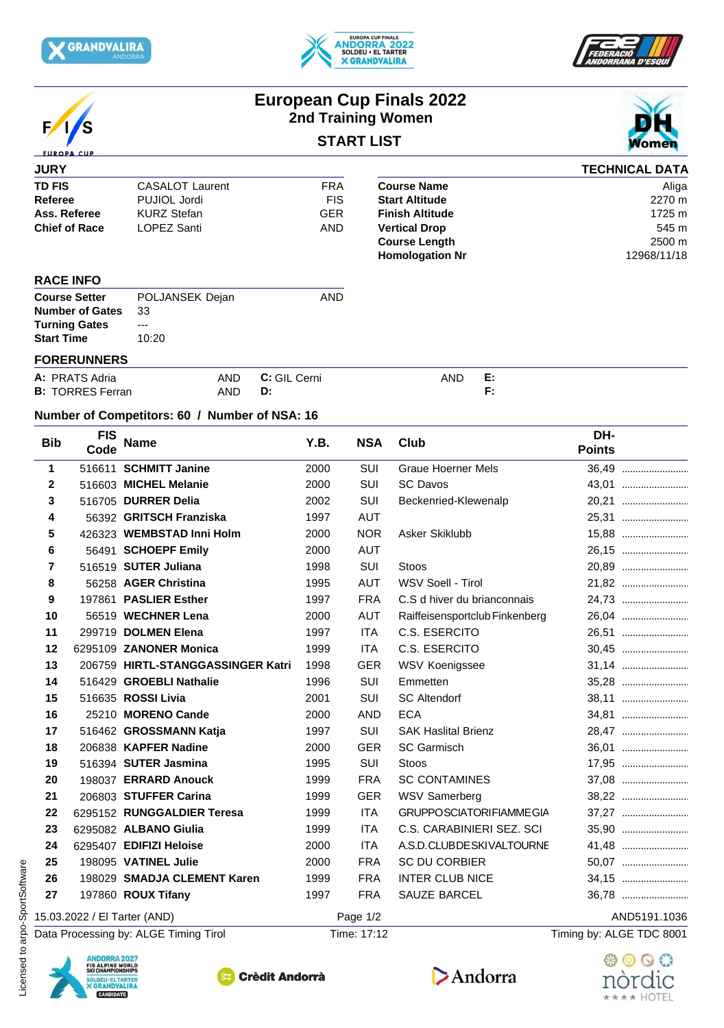







# **European Cup Finals 2022 2nd Training Women START LIST**



### **JURY TD FIS** CASALOT Laurent **FRA** Course Name<br>
Referee PUJIOL Jordi FIS Start Altitude **Referee** PUJIOL Jordi FIS<br> **Ass. Referee** KURZ Stefan GER **Ass. Referee** KURZ Stefan GER **Finish Altitude** 1725 m **Chief of Race** LOPEZ Santi **AND** Vertical Drop **TECHNICAL DATA Course Name** Aliga<br> **Start Altitude** 2270 m **Start Altitude** 2270 m **Vertical Drop** 545 m **Course Length** 2500 m<br> **Homologation Nr** 12968/11/18 **Homologation Nr RACE INFO**

| <b>Course Setter</b>      | POLJANSEK Dejan | AND |  |
|---------------------------|-----------------|-----|--|
| <b>Number of Gates</b> 33 |                 |     |  |
| <b>Turning Gates</b>      | $--$            |     |  |
| <b>Start Time</b>         | 10:20           |     |  |
|                           |                 |     |  |

### **FORERUNNERS**

| A: PRATS<br>Adria       | AND | GII<br>Cerni<br>u.<br>____ | <b>AND</b><br>$\cdots$ | . . |
|-------------------------|-----|----------------------------|------------------------|-----|
| <b>B: TORRES Ferran</b> | AND | - 11<br>υ.                 |                        |     |

## **Number of Competitors: 60 / Number of NSA: 16**

| <b>Bib</b>   | <b>FIS</b><br>Code                                                                                                              | <b>Name</b>                           | Y.B. | <b>NSA</b>  | Club                           | DH-<br><b>Points</b>     |
|--------------|---------------------------------------------------------------------------------------------------------------------------------|---------------------------------------|------|-------------|--------------------------------|--------------------------|
| $\mathbf{1}$ |                                                                                                                                 | 516611 SCHMITT Janine                 | 2000 | SUI         | <b>Graue Hoerner Mels</b>      | 36.49                    |
| $\mathbf{2}$ |                                                                                                                                 | 516603 MICHEL Melanie                 | 2000 | SUI         | <b>SC Davos</b>                | 43,01                    |
| 3            |                                                                                                                                 | 516705 DURRER Delia                   | 2002 | SUI         | Beckenried-Klewenalp           |                          |
| 4            |                                                                                                                                 | 56392 GRITSCH Franziska               | 1997 | AUT         |                                | 25,31                    |
| 5            |                                                                                                                                 | 426323 WEMBSTAD Inni Holm             | 2000 | <b>NOR</b>  | Asker Skiklubb                 | 15,88                    |
| 6            |                                                                                                                                 | 56491 SCHOEPF Emily                   | 2000 | <b>AUT</b>  |                                | 26,15                    |
| 7            |                                                                                                                                 | 516519 SUTER Juliana                  | 1998 | SUI         | Stoos                          |                          |
| 8            |                                                                                                                                 | 56258 AGER Christina                  | 1995 | <b>AUT</b>  | WSV Soell - Tirol              | 21,82                    |
| 9            |                                                                                                                                 | 197861 PASLIER Esther                 | 1997 | <b>FRA</b>  | C.S d hiver du brianconnais    | 24,73                    |
| 10           |                                                                                                                                 | 56519 WECHNER Lena                    | 2000 | <b>AUT</b>  | Raiffeisensportclub Finkenberg | 26,04                    |
| 11           |                                                                                                                                 | 299719 DOLMEN Elena                   | 1997 | <b>ITA</b>  | C.S. ESERCITO                  | 26,51                    |
| 12           |                                                                                                                                 | 6295109 ZANONER Monica                | 1999 | <b>ITA</b>  | C.S. ESERCITO                  | 30,45                    |
| 13           |                                                                                                                                 | 206759 HIRTL-STANGGASSINGER Katri     | 1998 | GER         | WSV Koenigssee                 | 31,14                    |
| 14           |                                                                                                                                 | 516429 GROEBLI Nathalie               | 1996 | SUI         | Emmetten                       |                          |
| 15           |                                                                                                                                 | 516635 ROSSI Livia                    | 2001 | SUI         | <b>SC Altendorf</b>            | 38,11                    |
| 16           |                                                                                                                                 | 25210 MORENO Cande                    | 2000 | AND         | <b>ECA</b>                     | 34,81                    |
| 17           |                                                                                                                                 | 516462 GROSSMANN Katja                | 1997 | SUI         | <b>SAK Haslital Brienz</b>     |                          |
| 18           |                                                                                                                                 | 206838 KAPFER Nadine                  | 2000 | <b>GER</b>  | <b>SC Garmisch</b>             |                          |
| 19           |                                                                                                                                 | 516394 SUTER Jasmina                  | 1995 | SUI         | <b>Stoos</b>                   | 17,95                    |
| 20           |                                                                                                                                 | 198037 ERRARD Anouck                  | 1999 | <b>FRA</b>  | <b>SC CONTAMINES</b>           |                          |
| 21           |                                                                                                                                 | 206803 STUFFER Carina                 | 1999 | <b>GER</b>  | <b>WSV Samerberg</b>           | 38,22                    |
| 22           |                                                                                                                                 | 6295152 RUNGGALDIER Teresa            | 1999 | ITA         | <b>GRUPPOSCIATORIFIAMMEGIA</b> |                          |
| 23           |                                                                                                                                 | 6295082 ALBANO Giulia                 | 1999 | <b>ITA</b>  | C.S. CARABINIERI SEZ. SCI      | 35,90                    |
| 24           |                                                                                                                                 | 6295407 EDIFIZI Heloise               | 2000 | <b>ITA</b>  | A.S.D.CLUBDESKIVALTOURNE       | 41.48                    |
| 25           |                                                                                                                                 | 198095 VATINEL Julie                  | 2000 | <b>FRA</b>  | SC DU CORBIER                  | 50,07                    |
| 26           |                                                                                                                                 | 198029 SMADJA CLEMENT Karen           | 1999 | <b>FRA</b>  | <b>INTER CLUB NICE</b>         | 34,15                    |
| 27           |                                                                                                                                 | 197860 ROUX Tifany                    | 1997 | <b>FRA</b>  | SAUZE BARCEL                   | 36,78                    |
|              |                                                                                                                                 | 15.03.2022 / El Tarter (AND)          |      | Page 1/2    |                                | AND5191.1036             |
|              |                                                                                                                                 | Data Processing by: ALGE Timing Tirol |      | Time: 17:12 |                                | Timing by: ALGE TDC 8001 |
| Licensed     | <b>ANDORRA 2027</b><br><b>FIS ALPINE WORLD<br/>SKI CHAMPIONSHIPS</b><br>SOLDEU - EL TARTER<br><b>X GRANDVALIRA</b><br>CANDIDATE | <b>Crèdit Andorrà</b>                 |      |             | Andorra                        | nórdic                   |